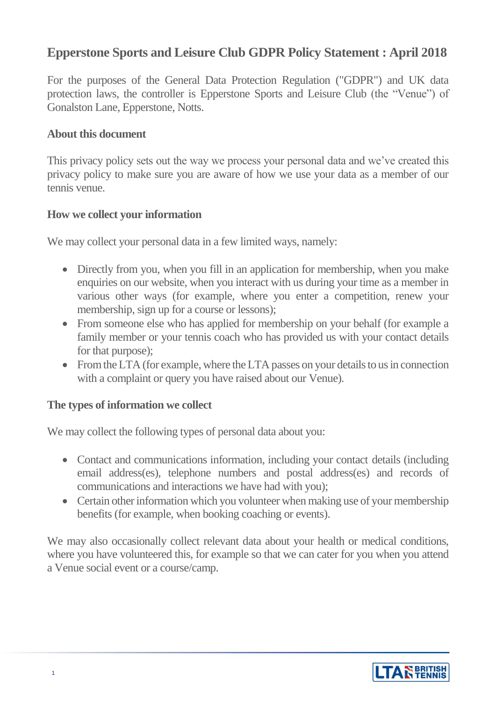# **Epperstone Sports and Leisure Club GDPR Policy Statement : April 2018**

For the purposes of the General Data Protection Regulation ("GDPR") and UK data protection laws, the controller is Epperstone Sports and Leisure Club (the "Venue") of Gonalston Lane, Epperstone, Notts.

## **About this document**

This privacy policy sets out the way we process your personal data and we've created this privacy policy to make sure you are aware of how we use your data as a member of our tennis venue.

## **How we collect your information**

We may collect your personal data in a few limited ways, namely:

- Directly from you, when you fill in an application for membership, when you make enquiries on our website, when you interact with us during your time as a member in various other ways (for example, where you enter a competition, renew your membership, sign up for a course or lessons);
- From someone else who has applied for membership on your behalf (for example a family member or your tennis coach who has provided us with your contact details for that purpose);
- From the LTA (for example, where the LTA passes on your details to us in connection with a complaint or query you have raised about our Venue).

# **The types of information we collect**

We may collect the following types of personal data about you:

- Contact and communications information, including your contact details (including email address(es), telephone numbers and postal address(es) and records of communications and interactions we have had with you);
- Certain other information which you volunteer when making use of your membership benefits (for example, when booking coaching or events).

We may also occasionally collect relevant data about your health or medical conditions, where you have volunteered this, for example so that we can cater for you when you attend a Venue social event or a course/camp.

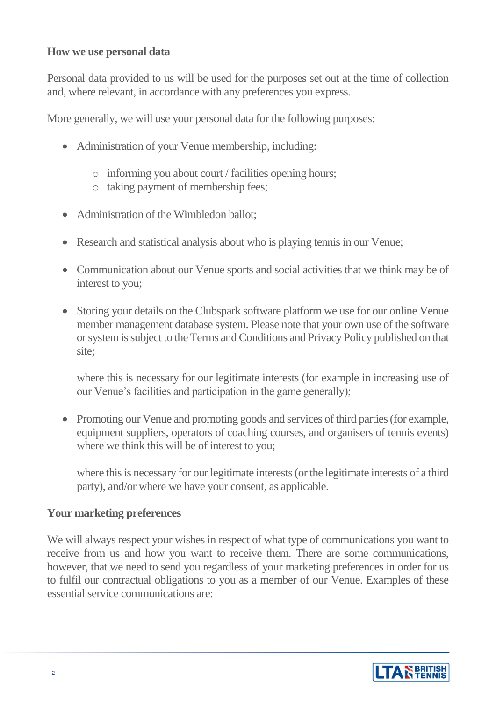## **How we use personal data**

Personal data provided to us will be used for the purposes set out at the time of collection and, where relevant, in accordance with any preferences you express.

More generally, we will use your personal data for the following purposes:

- Administration of your Venue membership, including:
	- o informing you about court / facilities opening hours;
	- o taking payment of membership fees;
- Administration of the Wimbledon ballot;
- Research and statistical analysis about who is playing tennis in our Venue;
- Communication about our Venue sports and social activities that we think may be of interest to you;
- Storing your details on the Clubspark software platform we use for our online Venue member management database system. Please note that your own use of the software or system is subject to the Terms and Conditions and Privacy Policy published on that site;

where this is necessary for our legitimate interests (for example in increasing use of our Venue's facilities and participation in the game generally);

• Promoting our Venue and promoting goods and services of third parties (for example, equipment suppliers, operators of coaching courses, and organisers of tennis events) where we think this will be of interest to you;

where this is necessary for our legitimate interests (or the legitimate interests of a third party), and/or where we have your consent, as applicable.

#### **Your marketing preferences**

We will always respect your wishes in respect of what type of communications you want to receive from us and how you want to receive them. There are some communications, however, that we need to send you regardless of your marketing preferences in order for us to fulfil our contractual obligations to you as a member of our Venue. Examples of these essential service communications are:

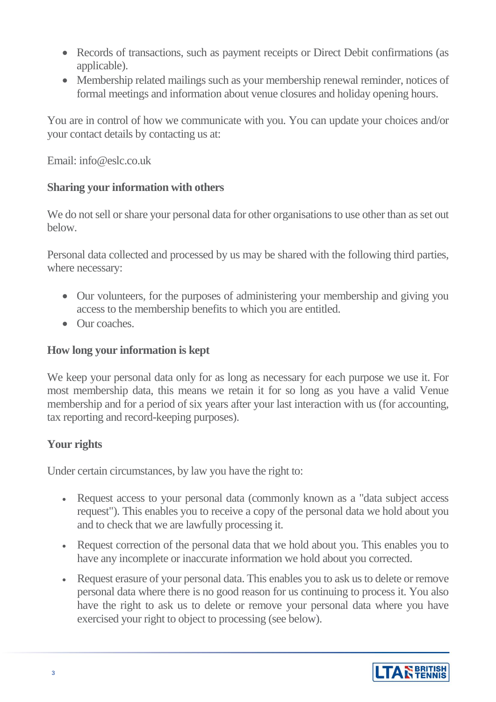- Records of transactions, such as payment receipts or Direct Debit confirmations (as applicable).
- Membership related mailings such as your membership renewal reminder, notices of formal meetings and information about venue closures and holiday opening hours.

You are in control of how we communicate with you. You can update your choices and/or your contact details by contacting us at:

Email: info@eslc.co.uk

# **Sharing your information with others**

We do not sell or share your personal data for other organisations to use other than as set out below.

Personal data collected and processed by us may be shared with the following third parties, where necessary:

- Our volunteers, for the purposes of administering your membership and giving you access to the membership benefits to which you are entitled.
- Our coaches.

# **How long your information is kept**

We keep your personal data only for as long as necessary for each purpose we use it. For most membership data, this means we retain it for so long as you have a valid Venue membership and for a period of six years after your last interaction with us (for accounting, tax reporting and record-keeping purposes).

# **Your rights**

Under certain circumstances, by law you have the right to:

- Request access to your personal data (commonly known as a "data subject access") request"). This enables you to receive a copy of the personal data we hold about you and to check that we are lawfully processing it.
- Request correction of the personal data that we hold about you. This enables you to have any incomplete or inaccurate information we hold about you corrected.
- Request erasure of your personal data. This enables you to ask us to delete or remove personal data where there is no good reason for us continuing to process it. You also have the right to ask us to delete or remove your personal data where you have exercised your right to object to processing (see below).